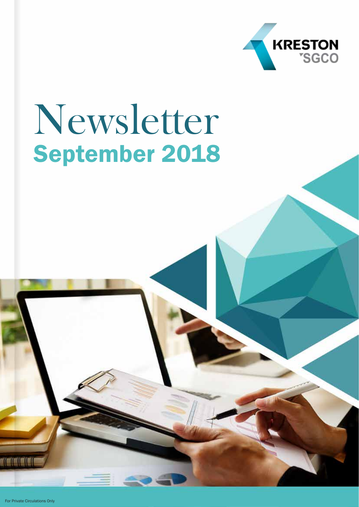

## Newsletter September 2018

For Private Circulations Only

 $\blacksquare$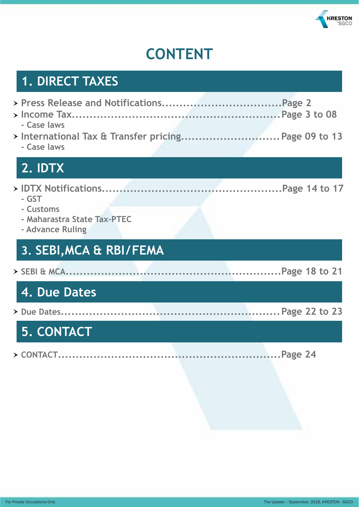

## **CONTENT**

## **1. DIRECT TAXES**

| - Case laws                                                           |  |
|-----------------------------------------------------------------------|--|
| - Case laws                                                           |  |
| 2. IDTX                                                               |  |
| - GST<br>- Customs<br>- Maharastra State Tax-PTEC<br>- Advance Ruling |  |
| 3. SEBI, MCA & RBI/FEMA                                               |  |
|                                                                       |  |
| 4. Due Dates                                                          |  |
|                                                                       |  |
| <b>5. CONTACT</b>                                                     |  |
|                                                                       |  |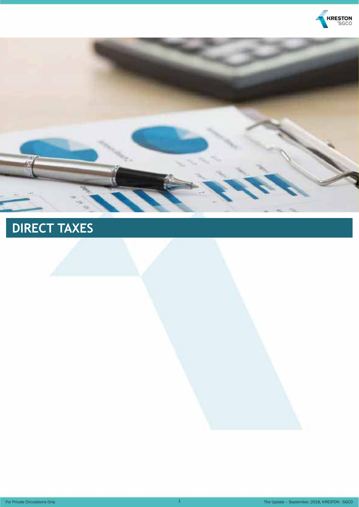



## **DIRECT TAXES**

For Private Circulations Only **1** The Update – September, 2018, KRESTON - SGCO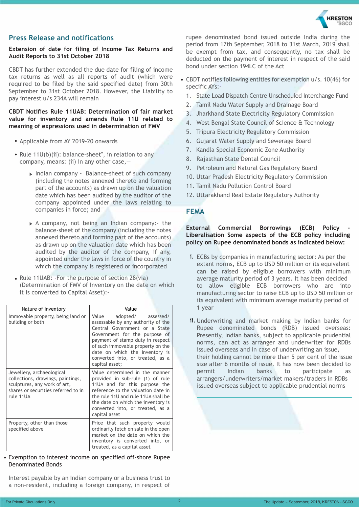

#### **Press Release and notifications**

#### **Extension of date for filing of Income Tax Returns and Audit Reports to 31st October 2018**

CBDT has further extended the due date for filing of income tax returns as well as all reports of audit (which were required to be filed by the said specified date) from 30th September to 31st October 2018. However, the Liability to pay interest u/s 234A will remain

#### **CBDT Notifies Rule 11UAB: Determination of fair market value for inventory and amends Rule 11U related to meaning of expressions used in determination of FMV**

- Applicable from AY 2019-20 onwards
- Rule  $11U(b)(ii)$ : balance-sheet", in relation to any company, means: (ii) in any other case,—
	- ▶ Indian company Balance-sheet of such company (including the notes annexed thereto and forming part of the accounts) as drawn up on the valuation date which has been audited by the auditor of the company appointed under the laws relating to companies in force; and
	- $\triangleright$  A company, not being an Indian company:- the balance-sheet of the company (including the notes annexed thereto and forming part of the accounts) as drawn up on the valuation date which has been audited by the auditor of the company, if any, appointed under the laws in force of the country in which the company is registered or incorporated
- Rule 11UAB: -For the purpose of section 28(via) (Determination of FMV of Inventory on the date on which it is converted to Capital Asset):-

| Nature of Inventory                                                                                                                                | Value                                                                                                                                                                                                                                                                                                   |
|----------------------------------------------------------------------------------------------------------------------------------------------------|---------------------------------------------------------------------------------------------------------------------------------------------------------------------------------------------------------------------------------------------------------------------------------------------------------|
| Immovable property, being land or<br>building or both                                                                                              | Value<br>adopted/<br>assessed/<br>assessable by any authority of the<br>Central Government or a State<br>Government for the purpose of<br>payment of stamp duty in respect<br>of such immovable property on the<br>date on which the inventory is<br>converted into, or treated, as a<br>capital asset; |
| Jewellery, archaeological<br>collections, drawings, paintings,<br>sculptures, any work of art,<br>shares or securities referred to in<br>rule 11UA | Value determined in the manner<br>provided in sub-rule (1) of rule<br>11UA and for this purpose the<br>reference to the valuation date in<br>the rule 11U and rule 11UA shall be<br>the date on which the inventory is<br>converted into, or treated, as a<br>capital asset                             |
| Property, other than those<br>specified above                                                                                                      | Price that such property would<br>ordinarily fetch on sale in the open<br>market on the date on which the<br>inventory is converted into, or<br>treated, as a capital asset                                                                                                                             |

#### Exemption to interest income on specified off-shore Rupee • Denominated Bonds

Interest payable by an Indian company or a business trust to a non-resident, including a foreign company, in respect of rupee denominated bond issued outside India during the period from 17th September, 2018 to 31st March, 2019 shall be exempt from tax, and consequently, no tax shall be deducted on the payment of interest in respect of the said bond under section 194LC of the Act

- CBDT notifies following entities for exemption u/s. 10(46) for specific AYs:-
	- 1. State Load Dispatch Centre Unscheduled Interchange Fund
	- 2. Tamil Nadu Water Supply and Drainage Board
	- 3. Jharkhand State Electricity Regulatory Commission
	- 4. West Bengal State Council of Science & Technology
	- 5. Tripura Electricity Regulatory Commission
	- 6. Gujarat Water Supply and Sewerage Board
	- 7. Kandla Special Economic Zone Authority
	- 8. Rajasthan State Dental Council
	- 9. Petroleum and Natural Gas Regulatory Board
	- 10. Uttar Pradesh Electricity Regulatory Commission
	- 11. Tamil Nadu Pollution Control Board
	- 12. Uttarakhand Real Estate Regulatory Authority

#### **FEMA**

#### **External Commercial Borrowings (ECB) Policy Liberalisation Some aspects of the ECB policy including policy on Rupee denominated bonds as indicated below:**

- i. ECBs by companies in manufacturing sector: As per the extant norms, ECB up to USD 50 million or its equivalent can be raised by eligible borrowers with minimum average maturity period of 3 years. It has been decided to allow eligible ECB borrowers who are into manufacturing sector to raise ECB up to USD 50 million or its equivalent with minimum average maturity period of 1 year
- ii. Underwriting and market making by Indian banks for Rupee denominated bonds (RDB) issued overseas: Presently, Indian banks, subject to applicable prudential norms, can act as arranger and underwriter for RDBs issued overseas and in case of underwriting an issue, their holding cannot be more than 5 per cent of the issue size after 6 months of issue. It has now been decided to permit Indian banks to participate as arrangers/underwriters/market makers/traders in RDBs issued overseas subject to applicable prudential norms

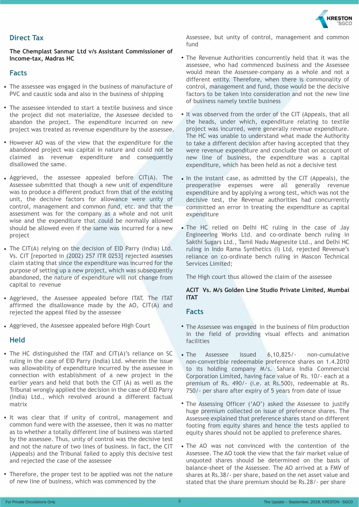

#### **Direct Tax**

**The Chemplast Sanmar Ltd v/s Assistant Commissioner of Income-tax, Madras HC**

#### **Facts**

- The assessee was engaged in the business of manufacture of PVC and caustic soda and also in the business of shipping
- The assessee intended to start a textile business and since the project did not materialize, the Assessee decided to abandon the project. The expenditure incurred on new project was treated as revenue expenditure by the assessee.
- However AO was of the view that the expenditure for the abandoned project was capital in nature and could not be claimed as revenue expenditure and consequently disallowed the same.
- Aggrieved, the assessee appealed before CIT(A). The Assessee submitted that though a new unit of expenditure was to produce a different product from that of the existing unit, the decisive factors for allowance were unity of control, management and common fund, etc. and that the assessment was for the company as a whole and not unit wise and the expenditure that could be normally allowed should be allowed even if the same was incurred for a new project
- The CIT(A) relying on the decision of EID Parry (India) Ltd. Vs. CIT [reported in (2002) 257 ITR 0253] rejected assesses claim stating that since the expenditure was incurred for the purpose of setting up a new project, which was subsequently abandoned, the nature of expenditure will not change from capital to revenue Vs. CIT [reported in (2002) 257 ITR 0253] rejected assesses and reliance on co-ordinate bench ruling in Mascon Technical Verther Claim stating that since the expenditure was incurred for the **Services Limited.** 
	- Aggrieved, the Assessee appealed before ITAT. The ITAT affirmed the disallowance made by the AO, CIT(A) and rejected the appeal filed by the assessee
	- Aggrieved, the Assessee appealed before High Court

#### **Held**

- The HC distinguished the ITAT and CIT(A)'s reliance on SC ruling in the case of EID Parry (India) Ltd. wherein the issue was allowability of expenditure incurred by the assessee in connection with establishment of a new project in the earlier years and held that both the CIT (A) as well as the Tribunal wrongly applied the decision in the case of EID Parry (India) Ltd., which revolved around a different factual matrix
- It was clear that if unity of control, management and common fund were with the assessee, then it was no matter as to whether a totally different line of business was started by the assessee. Thus, unity of control was the decisive test and not the nature of two lines of business. In fact, the CIT (Appeals) and the Tribunal failed to apply this decisive test and rejected the case of the assessee
- Therefore, the proper test to be applied was not the nature of new line of business, which was commenced by the

Assessee, but unity of control, management and common fund

- The Revenue Authorities concurrently held that it was the assessee, who had commenced business and the Assessee would mean the Assessee-company as a whole and not a different entity. Therefore, when there is commonality of control, management and fund, those would be the decisive factors to be taken into consideration and not the new line of business namely textile business
- It was observed from the order of the CIT (Appeals, that all the heads, under which, expenditure relating to textile project was incurred, were generally revenue expenditure. The HC was unable to understand what made the Authority to take a different decision after having accepted that they were revenue expenditure and conclude that on account of new line of business, the expenditure was a capital expenditure, which has been held as not a decisive test
- In the instant case, as admitted by the CIT (Appeals), the preoperative expenses were all generally revenue expenditure and by applying a wrong test, which was not the decisive test, the Revenue authorities had concurrently committed an error in treating the expenditure as capital expenditure
- The HC relied on Delhi HC ruling in the case of Jay Engineering Works Ltd. and co-ordinate bench ruling in Sakthi Sugars Ltd., Tamil Nadu Magnesite Ltd., and Delhi HC ruling in Indo Rama Synthetics (I) Ltd, rejected Revenue's Services Limited;

The High court thus allowed the claim of the assessee

#### **ACIT Vs. M/s Golden Line Studio Private Limited, Mumbai ITAT**

#### **Facts**

- The Assessee was engaged in the business of film production in the field of providing visual effects and animation facilities
- The Assessee issued 6,10,825/- non-cumulative non-convertible redeemable preference shares on 1.4.2010 to its holding company M/s. Sahara India Commercial Corporation Limited, having face value of Rs. 10/- each at a premium of Rs. 490/- (i.e. at Rs.500), redeemable at Rs. 750/- per share after expiry of 5 years from date of issue
- The Assessing Officer ('AO') asked the Assessee to justify huge premium collected on issue of preference shares. The Assessee explained that preference shares stand on different footing from equity shares and hence the tests applied to equity shares should not be applied to preference shares.
- The AO was not convinced with the contention of the Assessee. The AO took the view that the fair market value of unquoted shares should be determined on the basis of balance-sheet of the Assessee. The AO arrived at a FMV of shares at Rs.38/- per share, based on the net asset value and stated that the share premium should be Rs.28/- per share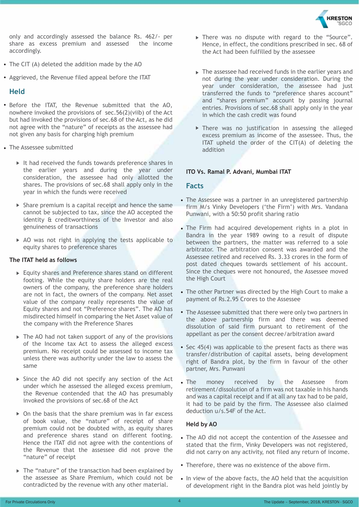

only and accordingly assessed the balance Rs. 462/- per share as excess premium and assessed the income accordingly.

- The CIT (A) deleted the addition made by the AO
- Aggrieved, the Revenue filed appeal before the ITAT

#### **Held**

- Before the ITAT, the Revenue submitted that the AO, nowhere invoked the provisions of sec.56(2)(viib) of the Act but had invoked the provisions of sec.68 of the Act, as he did not agree with the "nature" of receipts as the assessee had not given any basis for charging high premium
- The Assessee submitted
	- It had received the funds towards preference shares in the earlier years and during the year under consideration, the assessee had only allotted the shares. The provisions of sec.68 shall apply only in the year in which the funds were received
	- $\triangleright$  Share premium is a capital receipt and hence the same cannot be subjected to tax, since the AO accepted the identity & creditworthiness of the Investor and also genuineness of transactions
	- $\triangleright$  AO was not right in applying the tests applicable to equity shares to preference shares

#### **The ITAT held as follows**

- Equity shares and Preference shares stand on different footing. While the equity share holders are the real owners of the company, the preference share holders are not in fact, the owners of the company. Net asset value of the company really represents the value of Equity shares and not "Preference shares". The AO has misdirected himself in comparing the Net Asset value of the company with the Preference Shares
- ▶ The AO had not taken support of any of the provisions of the Income tax Act to assess the alleged excess premium. No receipt could be assessed to income tax unless there was authority under the law to assess the same
- Since the AO did not specify any section of the Act under which he assessed the alleged excess premium, the Revenue contended that the AO has presumably invoked the provisions of sec.68 of the Act
- $\triangleright$  On the basis that the share premium was in far excess of book value, the "nature" of receipt of share premium could not be doubted with, as equity shares and preference shares stand on different footing. Hence the ITAT did not agree with the contentions of the Revenue that the assessee did not prove the "nature" of receipt
- The "nature" of the transaction had been explained by the assessee as Share Premium, which could not be contradicted by the revenue with any other material.
- There was no dispute with regard to the "Source". Hence, in effect, the conditions prescribed in sec. 68 of the Act had been fulfilled by the assessee
- $\triangleright$  The assessee had received funds in the earlier vears and not during the year under consideration. During the year under consideration, the assessee had just transferred the funds to "preference shares account" and "shares premium" account by passing journal entries. Provisions of sec.68 shall apply only in the year in which the cash credit was found
- There was no justification in assessing the alleged excess premium as income of the assessee. Thus, the ITAT upheld the order of the CIT(A) of deleting the addition

#### **ITO Vs. Ramal P. Advani, Mumbai ITAT**

#### **Facts**

- The Assessee was a partner in an unregistered partnership firm M/s Vinky Developers ('the Firm') with Mrs. Vandana Punwani, with a 50:50 profit sharing ratio
- The Firm had acquired developement rights in a plot in Bandra in the year 1989 owing to a result of dispute between the partners, the matter was referred to a sole arbitrator. The arbitration consent was awarded and the Assessee retired and received Rs. 3.33 crores in the form of post dated cheques towards settlement of his account. Since the cheques were not honoured, the Assessee moved the High Court
- The other Partner was directed by the High Court to make a payment of Rs.2.95 Crores to the Assessee
- The Assessee submitted that there were only two partners in the above partnership firm and there was deemed dissolution of said firm pursuant to retirement of the appellant as per the consent decree/arbitration award
- Sec 45(4) was applicable to the present facts as there was transfer/distribution of capital assets, being development right of Bandra plot, by the firm in favour of the other partner, Mrs. Punwani
- The money received by the Assessee from retirement/dissolution of a firm was not taxable in his hands and was a capital receipt and if at all any tax had to be paid, it had to be paid by the firm. The Assessee also claimed deduction u/s.54F of the Act.

#### **Held by AO**

- The AO did not accept the contention of the Assessee and stated that the firm, Vinky Developers was not registered, did not carry on any activity, not filed any return of income.
- Therefore, there was no existence of the above firm.
- In view of the above facts, the AO held that the acquisition of development right in the Bandra plot was held jointly by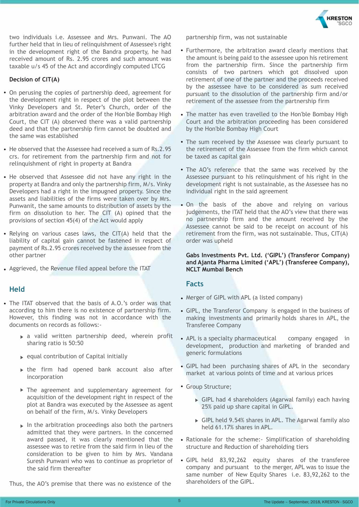**KRESTON** 

two individuals i.e. Assessee and Mrs. Punwani. The AO further held that in lieu of relinquishment of Assessee's right in the development right of the Bandra property, he had received amount of Rs. 2.95 crores and such amount was taxable u/s 45 of the Act and accordingly computed LTCG

#### **Decision of CIT(A)**

- On perusing the copies of partnership deed, agreement for the development right in respect of the plot between the Vinky Developers and St. Peter's Church, order of the arbitration award and the order of the Hon'ble Bombay High Court, the CIT (A) observed there was a valid partnership deed and that the partnership firm cannot be doubted and the same was established
- He observed that the Assessee had received a sum of Rs. 2.95 crs. for retirement from the partnership firm and not for relinquishment of right in property at Bandra
- He observed that Assessee did not have any right in the property at Bandra and only the partnership firm, M/s. Vinky Developers had a right in the impugned property. Since the assets and liabilities of the firms were taken over by Mrs. Punwanit, the same amounts to distribution of assets by the firm on dissolution to her. The CIT (A) opined that the provisions of section 45(4) of the Act would apply
- Relying on various cases laws, the CIT(A) held that the liability of capital gain cannot be fastened in respect of payment of Rs.2.95 crores received by the assessee from the other partner
- Aggrieved, the Revenue filed appeal before the ITAT

#### **Held**

- The ITAT observed that the basis of A.O.'s order was that according to him there is no existence of partnership firm. However, this finding was not in accordance with the documents on records as follows:-
	- $\triangleright$  a valid written partnership deed, wherein profit sharing ratio is 50:50
	- $\rightarrow$  equal contribution of Capital initially
	- $\triangleright$  the firm had opened bank account also after incorporation
	- The agreement and supplementary agreement for acquisition of the development right in respect of the plot at Bandra was executed by the Assessee as agent on behalf of the firm, M/s. Vinky Developers
	- $\triangleright$  In the arbitration proceedings also both the partners admitted that they were partners. In the concerned award passed, it was clearly mentioned that the assessee was to retire from the said firm in lieu of the consideration to be given to him by Mrs. Vandana Suresh Punwani who was to continue as proprietor of the said firm thereafter

Thus, the AO's premise that there was no existence of the

partnership firm, was not sustainable

- Furthermore, the arbitration award clearly mentions that the amount is being paid to the assessee upon his retirement from the partnership firm. Since the partnership firm consists of two partners which got dissolved upon retirement of one of the partner and the proceeds received by the assessee have to be considered as sum received pursuant to the dissolution of the partnership firm and/or retirement of the assessee from the partnership firm
- The matter has even travelled to the Hon'ble Bombay High Court and the arbitration proceeding has been considered by the Hon'ble Bombay High Court
- The sum received by the Assessee was clearly pursuant to the retirement of the Assessee from the firm which cannot be taxed as capital gain
- The AO's reference that the same was received by the Assessee pursuant to his relinquishment of his right in the development right is not sustainable, as the Assessee has no individual right in the said agreement
- On the basis of the above and relying on various judgements, the ITAT held that the AO's view that there was no partnership firm and the amount received by the Assessee cannot be said to be receipt on account of his retirement from the firm, was not sustainable. Thus, CIT(A) order was upheld

#### **Gabs Investments Pvt. Ltd. ('GIPL') (Transferor Company) and Ajanta Pharma Limited ('APL') (Transferee Company), NCLT Mumbai Bench**

#### **Facts**

- Merger of GIPL with APL (a listed company)
- GIPL, the Transferor Company is engaged in the business of making investments and primarily holds shares in APL, the Transferee Company
- APL is a specialty pharmaceutical company engaged in development, production and marketing of branded and generic formulations
- GIPL had been purchasing shares of APL in the secondary market at various points of time and at various prices
- Group Structure;
	- GIPL had 4 shareholders (Agarwal family) each having 25% paid up share capital in GIPL.
	- GIPL held 9.54% shares in APL. The Agarwal family also held 61.17% shares in APL.
- Rationale for the scheme: Simplification of shareholding structure and Reduction of shareholding tiers
- GIPL held 83,92,262 equity shares of the transferee company and pursuant to the merger, APL was to issue the same number of New Equity Shares i.e. 83,92,262 to the shareholders of the GIPL.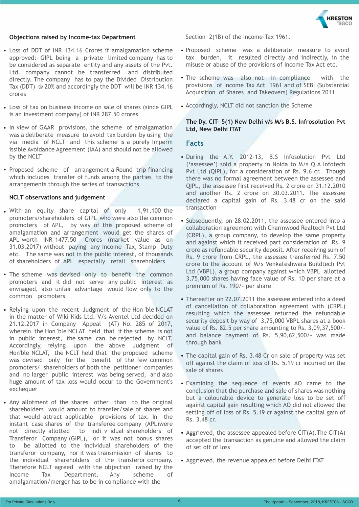

#### **Objections raised by Income-tax Department**

- Loss of DDT of INR 134.16 Crores if amalgamation scheme approved:- GIPL being a private limited company has to be considered as separate entity and any assets of the Pvt. Ltd. company cannot be transferred and distributed directly. The company has to pay the Divided Distribution Tax (DDT) @ 20% and accordingly the DDT will be INR 134.16 crores
- Loss of tax on business income on sale of shares (since GIPL is an investment company) of INR 287.50 crores
- In view of GAAR provisions, the scheme of amalgamation was a deliberate measure to avoid tax burden by using the via media of NCLT and this scheme is a purely Imperm issible Avoidance Agreement (IAA) and should not be allowed by the NCLT
- Proposed scheme of arrangement a Round trip financing which includes transfer of funds among the parties to the arrangements through the series of transactions

#### **NCLT observations and judgement**

- With an equity share capital of only 1,91,100 the promoters/shareholders of GIPL who were also the common promoters of APL, by way of this proposed scheme of amalgamation and arrangement would get the shares of APL worth INR 1477.50 Crores (market value as on 31.03.2017) without paying any Income Tax, Stamp Duty etc. The same was not in the public interest, of thousands of shareholders of APL especially retail shareholders
- The scheme was devised only to benefit the common promoters and it did not serve any public interest as envisaged, also unfair advantage would flow only to the common promoters
- Relying upon the recent Judgment of the Hon 'ble NCLAT in the matter of Wiki Kids Ltd. V/s Aventel Ltd decided on 21.12.2017 in Company Appeal (AT) No. 285 of 2017, wherein the Hon 'ble NCLAT held that if the scheme is not in public interest, the same can be rejected by NCLT. Accordingly, relying upon the above Judgment of Hon'ble NCLAT, the NCLT held that the proposed scheme was devised only for the benefit of the few common promoters/ shareholders of both the petitioner companies and no larger public interest was being served, and also huge amount of tax loss would occur to the Government's exchequer
- Anv allotment of the shares other than to the original shareholders would amount to transfer/sale of shares and that would attract applicable provisions of tax. In the instant case shares of the transferee company (APL)were not directly allotted to indi v idual shareholders of Transferor Company (GIPL), or it was not bonus shares to be allotted to the individual shareholders of the transferor company, nor it was transmission of shares to the individual shareholders of the transferor company. Therefore NCLT agreed with the objection raised by the Income Tax Department. Any scheme of amalgamation/merger has to be in compliance with the

Section 2(1B) of the Income-Tax 1961.

- Proposed scheme was a deliberate measure to avoid tax burden, it resulted directly and indirectly, in the misuse or abuse of the provisions of Income Tax Act etc.
- The scheme was also not in compliance with the provisions of Income Tax Act 1961 and of SEBI (Substantial Acquisition of Shares and Takeovers) Regulations 2011
- Accordingly, NCLT did not sanction the Scheme

#### **The Dy. CIT- 5(1) New Delhi v/s M/s B.S. Infrosolution Pvt Ltd, New Delhi ITAT**

#### **Facts**

- During the A.Y. 2012-13, B.S Infosolution Pvt Ltd ('assessee') sold a property in Noida to M/s Q.A Infotech Pvt Ltd (QIPL), for a consideration of Rs. 9.6 cr. Though there was no formal agreement between the assessee and QIPL, the assessee first received Rs. 2 crore on 31.12.2010 and another Rs. 2 crore on 30.03.2011. The assessee declared a capital gain of Rs. 3.48 cr on the said transaction
- Subsequently, on 28.02.2011, the assessee entered into a collaboration agreement with Charmwood Realtech Pvt Ltd (CRPL), a group company, to develop the same property and against which it received part consideration of Rs. 9 crore as refundable security deposit. After receiving sum of Rs. 9 crore from CRPL, the assessee transferred Rs. 7.50 crore to the account of M/s Venkateshwara Buildtech Pvt Ltd (VBPL), a group company against which VBPL allotted 3,75,000 shares having face value of Rs. 10 per share at a premium of Rs. 190/- per share
- Thereafter on 22.07.2011 the assessee entered into a deed of cancellation of collaboration agreement with (CRPL) resulting which the assessee returned the refundable security deposit by way of 3,75,000 VBPL shares at a book value of Rs. 82.5 per share amounting to Rs. 3,09,37,500/ and balance payment of Rs. 5,90,62,500/- was made through bank
- The capital gain of Rs. 3.48 Cr on sale of property was set off against the claim of loss of Rs. 5.19 cr incurred on the sale of shares
- Examining the sequence of events AO came to the conclusion that the purchase and sale of shares was nothing but a colourable device to generate loss to be set off against capital gain resulting which AO did not allowed the setting off of loss of Rs. 5.19 cr against the capital gain of Rs. 3.48 cr.
- Aggrieved, the assessee appealed before CIT(A). The CIT(A) accepted the transaction as genuine and allowed the claim of set off of loss
- Aggrieved, the revenue appealed before Delhi ITAT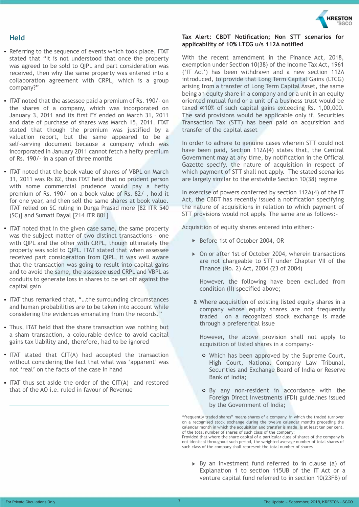#### **Held**

- Referring to the sequence of events which took place, ITAT stated that "It is not understood that once the property was agreed to be sold to QIPL and part consideration was received, then why the same property was entered into a collaboration agreement with CRPL, which is a group company?"
- ITAT noted that the assessee paid a premium of Rs. 190/- on the shares of a company, which was incorporated on January 3, 2011 and its first FY ended on March 31, 2011 and date of purchase of shares was March 15, 2011. ITAT stated that though the premium was justified by a valuation report, but the same appeared to be a self-serving document because a company which was incorporated in January 2011 cannot fetch a hefty premium of Rs. 190/- in a span of three months
- ITAT noted that the book value of shares of VBPL on March 31, 2011 was Rs 82, thus ITAT held that no prudent person with some commercial prudence would pay a hefty premium of Rs. 190/- on a book value of Rs. 82/-, hold it for one year, and then sell the same shares at book value. ITAT relied on SC ruling in Durga Prasad more [82 ITR 540 (SC)] and Sumati Dayal [214 ITR 801]
- ITAT noted that in the given case same, the same property was the subject matter of two distinct transactions – one with QIPL and the other with CRPL, though ultimately the property was sold to QIPL. ITAT stated that when assessee received part consideration from QIPL, it was well aware that the transaction was going to result into capital gains and to avoid the same, the assessee used CRPL and VBPL as conduits to generate loss in shares to be set off against the capital gain
- ITAT thus remarked that, "...the surrounding circumstances and human probabilities are to be taken into account while considering the evidences emanating from the records."
- Thus, ITAT held that the share transaction was nothing but a sham transaction, a colourable device to avoid capital gains tax liability and, therefore, had to be ignored
- ITAT stated that CIT(A) had accepted the transaction without considering the fact that what was 'apparent' was not 'real' on the facts of the case in hand
- ITAT thus set aside the order of the CIT(A) and restored that of the AO i.e. ruled in favour of Revenue



#### **Tax Alert: CBDT Notification; Non STT scenarios for applicability of 10% LTCG u/s 112A notified**

With the recent amendment in the Finance Act, 2018, exemption under Section 10(38) of the Income Tax Act, 1961 ('IT Act') has been withdrawn and a new section 112A introduced, to provide that Long Term Capital Gains (LTCG) arising from a transfer of Long Term Capital Asset, the same being an equity share in a company and or a unit in an equity oriented mutual fund or a unit of a business trust would be taxed @10% of such capital gains exceeding Rs. 1,00,000. The said provisions would be applicable only if, Securities Transaction Tax (STT) has been paid on acquisition and transfer of the capital asset

In order to adhere to genuine cases wherein STT could not have been paid, Section 112A(4) states that, the Central Government may at any time, by notification in the Official Gazette specify, the nature of acquisition in respect of which payment of STT shall not apply. The stated scenarios are largely similar to the erstwhile Section 10(38) regime

In exercise of powers conferred by section 112A(4) of the IT Act, the CBDT has recently issued a notification specifying the nature of acquisitions in relation to which payment of STT provisions would not apply. The same are as follows:-

Acquisition of equity shares entered into either:-

- ▶ Before 1st of October 2004, OR
- ▶ On or after 1st of October 2004, wherein transactions are not chargeable to STT under Chapter VII of the Finance (No. 2) Act, 2004 (23 of 2004)

However, the following have been excluded from condition (II) specified above;

a Where acquisition of existing listed equity shares in a company whose equity shares are not frequently traded on a recognized stock exchange is made through a preferential issue

However, the above provision shall not apply to acquisition of listed shares in a company:-

- Which has been approved by the Supreme Court, High Court, National Company Law Tribunal, Securities and Exchange Board of India or Reserve Bank of India;
- By any non-resident in accordance with the Foreign Direct Investments (FDI) guidelines issued by the Government of India;

not identical throughout such period, the weighted average number of total shares of such class of the company shall represent the total number of shares

By an investment fund referred to in clause (a) of Explanation 1 to section 115UB of the IT Act or a venture capital fund referred to in section 10(23FB) of

<sup>&</sup>quot;frequently traded shares" means shares of a company, in which the traded turnover on a recognised stock exchange during the twelve calendar months preceding the calendar month in which the acquisition and transfer is made, is at least ten per cent. of the total number of shares of such class of the company: Provided that where the share capital of a particular class of shares of the company is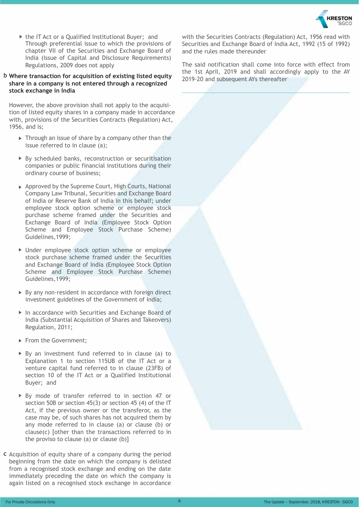

▶ the IT Act or a Qualified Institutional Buyer; and Through preferential issue to which the provisions of chapter VII of the Securities and Exchange Board of India (Issue of Capital and Disclosure Requirements) Regulations, 2009 does not apply

#### b **Where transaction for acquisition of existing listed equity share in a company is not entered through a recognized stock exchange in India**

However, the above provision shall not apply to the acquisition of listed equity shares in a company made in accordance with, provisions of the Securities Contracts (Regulation) Act, 1956, and is;

- Through an issue of share by a company other than the issue referred to in clause (a);
- ▶ By scheduled banks, reconstruction or securitisation companies or public financial institutions during their ordinary course of business;
- ▶ Approved by the Supreme Court, High Courts, National Company Law Tribunal, Securities and Exchange Board of India or Reserve Bank of India in this behalf; under employee stock option scheme or employee stock purchase scheme framed under the Securities and Exchange Board of India (Employee Stock Option Scheme and Employee Stock Purchase Scheme) Guidelines,1999;
- Under employee stock option scheme or employee stock purchase scheme framed under the Securities and Exchange Board of India (Employee Stock Option Scheme and Employee Stock Purchase Scheme) Guidelines,1999;
- ▶ By any non-resident in accordance with foreign direct investment guidelines of the Government of India;
- ▶ In accordance with Securities and Exchange Board of India (Substantial Acquisition of Shares and Takeovers) Regulation, 2011;
- From the Government;
- $\triangleright$  By an investment fund referred to in clause (a) to Explanation 1 to section 115UB of the IT Act or a venture capital fund referred to in clause (23FB) of section 10 of the IT Act or a Qualified Institutional Buyer; and
- ▶ By mode of transfer referred to in section 47 or section 50B or section 45(3) or section 45 (4) of the IT Act, if the previous owner or the transferor, as the case may be, of such shares has not acquired them by any mode referred to in clause (a) or clause (b) or clause(c) [other than the transactions referred to in the proviso to clause (a) or clause (b)]
- c Acquisition of equity share of a company during the period beginning from the date on which the company is delisted from a recognised stock exchange and ending on the date immediately preceding the date on which the company is again listed on a recognised stock exchange in accordance

with the Securities Contracts (Regulation) Act, 1956 read with Securities and Exchange Board of India Act, 1992 (15 of 1992) and the rules made thereunder

The said notification shall come into force with effect from the 1st April, 2019 and shall accordingly apply to the AY 2019-20 and subsequent AYs thereafter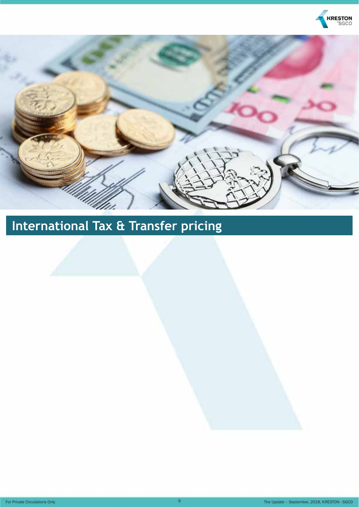



## **International Tax & Transfer pricing**

For Private Circulations Only **19** The Update – September, 2018, KRESTON - SGCO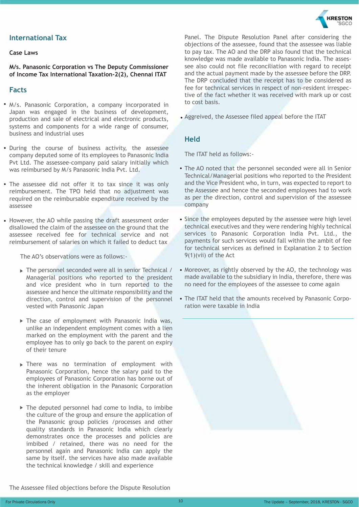#### **International Tax**

#### **Case Laws**

**M/s. Panasonic Corporation vs The Deputy Commissioner of Income Tax International Taxation-2(2), Chennai ITAT**

#### **Facts**

- M/s. Panasonic Corporation, a company incorporated in Japan was engaged in the business of development, production and sale of electrical and electronic products, systems and components for a wide range of consumer, business and industrial uses
- During the course of business activity, the assessee company deputed some of its employees to Panasonic India Pvt Ltd. The assessee-company paid salary initially which was reimbursed by M/s Panasonic India Pvt. Ltd.
- The assessee did not offer it to tax since it was only reimbursement. The TPO held that no adjustment was required on the reimbursable expenditure received by the assessee
- However, the AO while passing the draft assessment order disallowed the claim of the assessee on the ground that the assessee received fee for technical service and not reimbursement of salaries on which it failed to deduct tax

The AO's observations were as follows:-

- ▶ The personnel seconded were all in senior Technical / Managerial positions who reported to the president and vice president who in turn reported to the assessee and hence the ultimate responsibility and the direction, control and supervision of the personnel vested with Panasonic Japan
- ▶ The case of employment with Panasonic India was, unlike an independent employment comes with a lien marked on the employment with the parent and the employee has to only go back to the parent on expiry of their tenure
- There was no termination of employment with Panasonic Corporation, hence the salary paid to the employees of Panasonic Corporation has borne out of the inherent obligation in the Panasonic Corporation as the employer
- $\triangleright$  The deputed personnel had come to India, to imbibe the culture of the group and ensure the application of the Panasonic group policies /processes and other quality standards in Panasonic India which clearly demonstrates once the processes and policies are imbibed / retained, there was no need for the personnel again and Panasonic India can apply the same by itself. the services have also made available the technical knowledge / skill and experience



Panel. The Dispute Resolution Panel after considering the objections of the assessee, found that the assessee was liable to pay tax. The AO and the DRP also found that the technical knowledge was made available to Panasonic India. The assessee also could not file reconciliation with regard to receipt and the actual payment made by the assessee before the DRP. The DRP concluded that the receipt has to be considered as fee for technical services in respect of non-resident irrespective of the fact whether it was received with mark up or cost to cost basis.

Aggreived, the Assessee filed appeal before the ITAT

#### **Held**

The ITAT held as follows:-

- The AO noted that the personnel seconded were all in Senior Technical/Managerial positions who reported to the President and the Vice President who, in turn, was expected to report to the Assessee and hence the seconded employees had to work as per the direction, control and supervision of the assessee company
- Since the employees deputed by the assessee were high level technical executives and they were rendering highly technical services to Panasonic Corporation India Pvt. Ltd., the payments for such services would fall within the ambit of fee for technical services as defined in Explanation 2 to Section 9(1)(vii) of the Act
- Moreover, as rightly observed by the AO, the technology was made available to the subsidiary in India, therefore, there was no need for the employees of the assessee to come again
- The ITAT held that the amounts received by Panasonic Corporation were taxable in India



The Assessee filed objections before the Dispute Resolution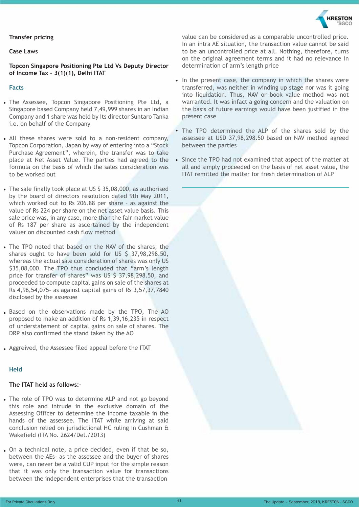#### **Transfer pricing**

#### **Case Laws**

**Topcon Singapore Positioning Pte Ltd Vs Deputy Director of Income Tax – 3(1)(1), Delhi ITAT**

#### **Facts**

- The Assessee, Topcon Singapore Positioning Pte Ltd, a Singapore based Company held 7,49,999 shares in an Indian Company and 1 share was held by its director Suntaro Tanka i.e. on behalf of the Company
- All these shares were sold to a non-resident company, Topcon Corporation, Japan by way of entering into a "Stock Purchase Agreement", wherein, the transfer was to take place at Net Asset Value. The parties had agreed to the formula on the basis of which the sales consideration was to be worked out
- The sale finally took place at US \$ 35,08,000, as authorised by the board of directors resolution dated 9th May 2011, which worked out to Rs 206.88 per share – as against the value of Rs 224 per share on the net asset value basis. This sale price was, in any case, more than the fair market value of Rs 187 per share as ascertained by the independent valuer on discounted cash flow method
- The TPO noted that based on the NAV of the shares, the shares ought to have been sold for US \$ 37,98,298.50, whereas the actual sale consideration of shares was only US \$35,08,000. The TPO thus concluded that "arm's length price for transfer of shares" was US \$ 37,98,298.50, and proceeded to compute capital gains on sale of the shares at Rs 4,96,54,075- as against capital gains of Rs 3,57,37,7840 disclosed by the assessee
- Based on the observations made by the TPO, The AO proposed to make an addition of Rs 1,39,16,235 in respect of understatement of capital gains on sale of shares. The DRP also confirmed the stand taken by the AO
- Aggreived, the Assessee filed appeal before the ITAT

#### **Held**

#### **The ITAT held as follows:-**

- The role of TPO was to determine ALP and not go beyond this role and intrude in the exclusive domain of the Assessing Officer to determine the income taxable in the hands of the assessee. The ITAT while arriving at said conclusion relied on jurisdictional HC ruling in Cushman & Wakefield (ITA No. 2624/Del./2013)
- On a technical note, a price decided, even if that be so, between the AEs- as the assessee and the buyer of shares were, can never be a valid CUP input for the simple reason that it was only the transaction value for transactions between the independent enterprises that the transaction



**CRESTON** 

- In the present case, the company in which the shares were transferred, was neither in winding up stage nor was it going into liquidation. Thus, NAV or book value method was not warranted. It was infact a going concern and the valuation on the basis of future earnings would have been justified in the present case
- The TPO determined the ALP of the shares sold by the assessee at USD 37,98,298.50 based on NAV method agreed between the parties
- Since the TPO had not examined that aspect of the matter at all and simply proceeded on the basis of net asset value, the ITAT remitted the matter for fresh determination of ALP

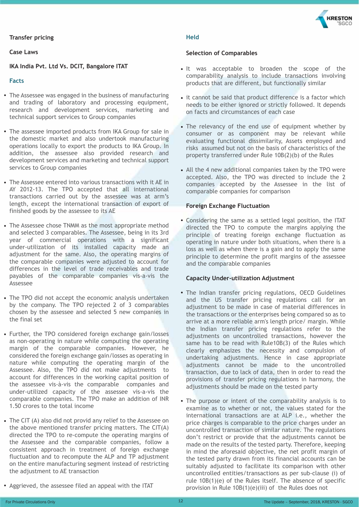#### **Transfer pricing**

#### **Case Laws**

**IKA India Pvt. Ltd Vs. DCIT, Bangalore ITAT**

#### **Facts**

- The Assessee was engaged in the business of manufacturing and trading of laboratory and processing equipment, research and development services, marketing and technical support services to Group companies
- The assessee imported products from IKA Group for sale in the domestic market and also undertook manufacturing operations locally to export the products to IKA Group. In addition, the assessee also provided research and development services and marketing and technical support services to Group companies
- The Assessee entered into various transactions with it AE in AY 2012-13. The TPO accepted that all international transactions carried out by the assessee was at arm's length, except the international transaction of export of finished goods by the assessee to its AE
- The Assessee chose TNMM as the most appropriate method and selected 3 comparables. The Assessee, being in its 3rd year of commercial operations with a significant under-utilization of its installed capacity made an adjustment for the same. Also, the operating margins of the comparable companies were adjusted to account for differences in the level of trade receivables and trade payables of the comparable companies vis-a-vis the Assessee
- The TPO did not accept the economic analysis undertaken by the company. The TPO rejected 2 of 3 comparables chosen by the assessee and selected 5 new companies in the final set
- Further, the TPO considered foreign exchange gain/losses as non-operating in nature while computing the operating margin of the comparable companies. However, he considered the foreign exchange gain/losses as operating in nature while computing the operating margin of the Assessee. Also, the TPO did not make adjustments to account for differences in the working capital position of the assessee vis-à-vis the comparable companies and under-utilized capacity of the assessee vis-a-vis the comparable companies. The TPO make an addition of INR 1.50 crores to the total income
- The CIT (A) also did not provid any relief to the Assessee on the above mentioned transfer pricing matters. The CIT(A) directed the TPO to re-compute the operating margins of the Assessee and the comparable companies, follow a consistent approach in treatment of foreign exchange fluctuation and to recompute the ALP and TP adjustment on the entire manufacturing segment instead of restricting the adjustment to AE transaction

#### **Held**

#### **Selection of Comparables**

- It was acceptable to broaden the scope of the comparability analysis to include transactions involving products that are different, but functionally similar
- it cannot be said that product difference is a factor which needs to be either ignored or strictly followed. It depends on facts and circumstances of each case
- The relevancy of the end use of equipment whether by consumer or as component may be relevant while evaluating functional dissimilarity, Assets employed and risks assumed but not on the basis of characteristics of the property transferred under Rule 10B(2)(b) of the Rules
- All the 4 new additional companies taken by the TPO were accepted. Also, the TPO was directed to include the 2 companies accepted by the Assessee in the list of comparable companies for comparison

#### **Foreign Exchange Fluctuation**

Considering the same as a settled legal position, the ITAT directed the TPO to compute the margins applying the principle of treating foreign exchange fluctuation as operating in nature under both situations, when there is a loss as well as when there is a gain and to apply the same principle to determine the profit margins of the assessee and the comparable companies

#### **Capacity Under-utilization Adjustment**

- The Indian transfer pricing regulations, OECD Guidelines and the US transfer pricing regulations call for an adjustment to be made in case of material differences in the transactions or the enterprises being compared so as to arrive at a more reliable arm's length price/ margin. While the Indian transfer pricing regulations refer to the adjustments on uncontrolled transactions, however the same has to be read with Rule10B(3) of the Rules which clearly emphasizes the necessity and compulsion of undertaking adjustments. Hence in case appropriate adjustments cannot be made to the uncontrolled transaction, due to lack of data, then in order to read the provisions of transfer pricing regulations in harmony, the adjustments should be made on the tested party
- The purpose or intent of the comparability analysis is to examine as to whether or not, the values stated for the international transactions are at ALP i.e., whether the price charges is comparable to the price charges under an uncontrolled transaction of similar nature. The regulations don't restrict or provide that the adjustments cannot be made on the results of the tested party. Therefore, keeping in mind the aforesaid objective, the net profit margin of the tested party drawn from its financial accounts can be suitably adjusted to facilitate its comparison with other uncontrolled entities/transactions as per sub-clause (i) of rule 10B(1)(e) of the Rules itself. The absence of specific provision in Rule 10B(1)(e)(iii) of the Rules does not
- Aggrieved, the assessee filed an appeal with the ITAT

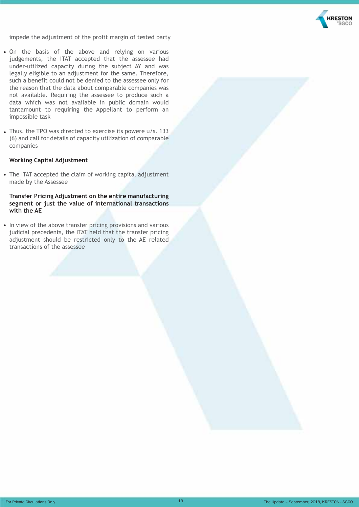

impede the adjustment of the profit margin of tested party

- On the basis of the above and relying on various judgements, the ITAT accepted that the assessee had under-utilized capacity during the subject AY and was legally eligible to an adjustment for the same. Therefore, such a benefit could not be denied to the assessee only for the reason that the data about comparable companies was not available. Requiring the assessee to produce such a data which was not available in public domain would tantamount to requiring the Appellant to perform an impossible task
- Thus, the TPO was directed to exercise its powere u/s. 133 (6) and call for details of capacity utilization of comparable companies

#### **Working Capital Adjustment**

The ITAT accepted the claim of working capital adjustment made by the Assessee

#### **Transfer Pricing Adjustment on the entire manufacturing segment or just the value of international transactions with the AE**

• In view of the above transfer pricing provisions and various judicial precedents, the ITAT held that the transfer pricing adjustment should be restricted only to the AE related transactions of the assessee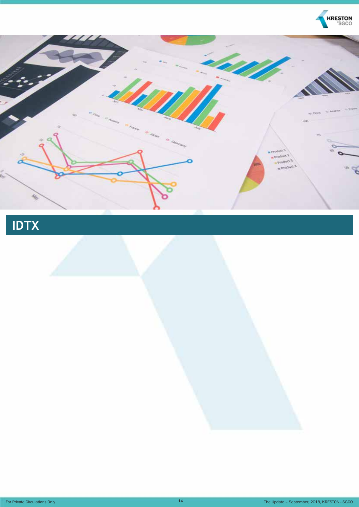

## **IDTX**

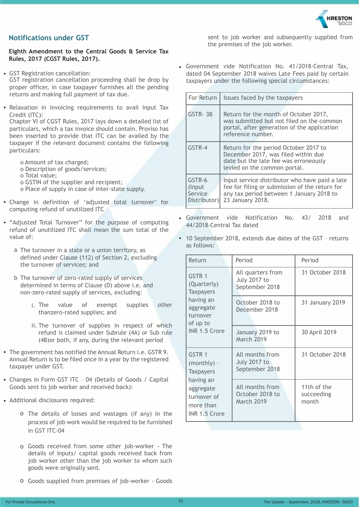

#### **Notifications under GST**

**Eighth Amendment to the Central Goods & Service Tax Rules, 2017 (CGST Rules, 2017).**

GST Registration cancellation:

GST registration cancellation proceeding shall be drop by proper officer, in case taxpayer furnishes all the pending returns and making full payment of tax due.

• Relaxation in invoicing requirements to avail Input Tax Credit (ITC):

Chapter VI of CGST Rules, 2017 lays down a detailed list of particulars, which a tax invoice should contain. Proviso has been inserted to provide that ITC can be availed by the taxpayer if the relevant document contains the following particulars:

- o Amount of tax charged;
- o Description of goods/services;
- o Total value;
- o GSTIN of the supplier and recipient;
- o Place of supply in case of inter-state supply.
- Change in definition of 'adjusted total turnover' for computing refund of unutilized ITC
- "Adjusted Total Turnover" for the purpose of computing refund of unutilized ITC shall mean the sum total of the value of:
	- a The turnover in a state or a union territory, as defined under Clause (112) of Section 2, excluding the turnover of services; and
	- b The turnover of zero-rated supply of services determined in terms of Clause (D) above i.e. and non-zero-rated supply of services, excluding:
		- value of exempt supplies other thanzero-rated supplies; and i.
		- ii. The turnover of supplies in respect of which refund is claimed under Subrule (4A) or Sub rule (4B)or both, if any, during the relevant period
- The government has notified the Annual Return i.e. GSTR 9. Annual Return is to be filed once in a year by the registered taxpayer under GST.
- Changes in Form GST ITC 04 (Details of Goods / Capital Goods sent to job worker and received back):
- Additional disclosures required:
	- The details of losses and wastages (if any) in the process of job work would be required to be furnished in GST ITC-04
	- Goods received from some other job-worker The details of inputs/ capital goods received back from job worker other than the job worker to whom such goods were originally sent.
	- Goods supplied from premises of job-worker Goods

sent to job worker and subsequently supplied from the premises of the job worker.

Government vide Notification No. 41/2018-Central Tax, dated 04 September 2018 waives Late Fees paid by certain taxpayers under the following special circumstances:

| For Return                                   | Issues faced by the taxpayers                                                                                                                                    |  |  |
|----------------------------------------------|------------------------------------------------------------------------------------------------------------------------------------------------------------------|--|--|
| GSTR-3B                                      | Return for the month of October 2017,<br>was submitted but not filed on the common<br>portal, after generation of the application<br>reference number.           |  |  |
| GSTR-4                                       | Return for the period October 2017 to<br>December 2017, was filed within due<br>date but the late fee was erroneously<br>levied on the common portal.            |  |  |
| GSTR-6<br>(Input)<br>Service<br>Distributor) | Input service distributor who have paid a late<br>fee for filing or submission of the return for<br>any tax period between 1 January 2018 to<br>23 January 2018. |  |  |

- Government vide Notification No. 43/ 2018 and 44/2018-Central Tax dated
- 10 September 2018, extends due dates of the GST returns as follows:

| Return                                                              | Period                                                     | Period                             |
|---------------------------------------------------------------------|------------------------------------------------------------|------------------------------------|
| GSTR 1<br>(Quarterly)<br><b>Taxpayers</b>                           | All quarters from<br><b>July 2017 to</b><br>September 2018 | 31 October 2018                    |
| having an<br>aggregate<br>turnover<br>of up to                      | October 2018 to<br>December 2018                           | 31 January 2019                    |
| INR 1.5 Crore                                                       | January 2019 to<br><b>March 2019</b>                       | 30 April 2019                      |
| GSTR 1<br>$(monthly) -$<br><b>Taxpayers</b>                         | All months from<br><b>July 2017 to</b><br>September 2018   | 31 October 2018                    |
| having an<br>aggregate<br>turnover of<br>more than<br>INR 1.5 Crore | All months from<br>October 2018 to<br>March 2019           | 11th of the<br>succeeding<br>month |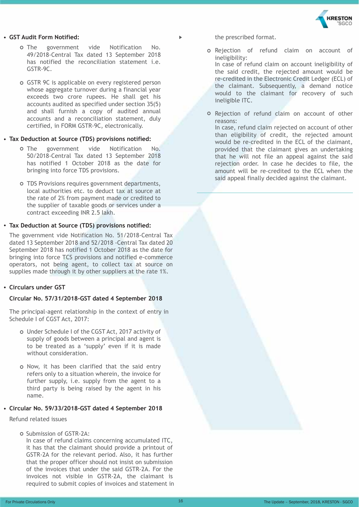## *RESTON*

#### **GST Audit Form Notified:**

- o The government vide Notification No. 49/2018-Central Tax dated 13 September 2018 has notified the reconciliation statement i.e. GSTR-9C.
- GSTR 9C is applicable on every registered person whose aggregate turnover during a financial year exceeds two crore rupees. He shall get his accounts audited as specified under section 35(5) and shall furnish a copy of audited annual accounts and a reconciliation statement, duly certified, in FORM GSTR-9C, electronically.

#### **Tax Deduction at Source (TDS) provisions notified:**

- o The government vide Notification No. 50/2018-Central Tax dated 13 September 2018 has notified 1 October 2018 as the date for bringing into force TDS provisions.
- TDS Provisions requires government departments, local authorities etc. to deduct tax at source at the rate of 2% from payment made or credited to the supplier of taxable goods or services under a contract exceeding INR 2.5 lakh.

#### **Tax Deduction at Source (TDS) provisions notified:**

The government vide Notification No. 51/2018-Central Tax dated 13 September 2018 and 52/2018 -Central Tax dated 20 September 2018 has notified 1 October 2018 as the date for bringing into force TCS provisions and notified e-commerce operators, not being agent, to collect tax at source on supplies made through it by other suppliers at the rate 1%.

#### **Circulars under GST**

#### **Circular No. 57/31/2018-GST dated 4 September 2018**

The principal-agent relationship in the context of entry in Schedule I of CGST Act, 2017:

- Under Schedule I of the CGST Act, 2017 activity of supply of goods between a principal and agent is to be treated as a 'supply' even if it is made without consideration.
- o Now, it has been clarified that the said entry refers only to a situation wherein, the invoice for further supply, i.e. supply from the agent to a third party is being raised by the agent in his name.

#### **Circular No. 59/33/2018-GST dated 4 September 2018**

Refund related issues

O Submission of GSTR-2A:

In case of refund claims concerning accumulated ITC, it has that the claimant should provide a printout of GSTR-2A for the relevant period. Also, it has further that the proper officer should not insist on submission of the invoices that under the said GSTR-2A. For the invoices not visible in GSTR-2A, the claimant is required to submit copies of invoices and statement in the prescribed format.

- o Rejection of refund claim on account of ineligibility: In case of refund claim on account ineligibility of the said credit, the rejected amount would be re-credited in the Electronic Credit Ledger (ECL) of the claimant. Subsequently, a demand notice would to the claimant for recovery of such ineligible ITC.
- o Rejection of refund claim on account of other reasons: In case, refund claim rejected on account of other than eligibility of credit, the rejected amount would be re-credited in the ECL of the claimant, provided that the claimant gives an undertaking that he will not file an appeal against the said rejection order. In case he decides to file, the amount will be re-credited to the ECL when the said appeal finally decided against the claimant.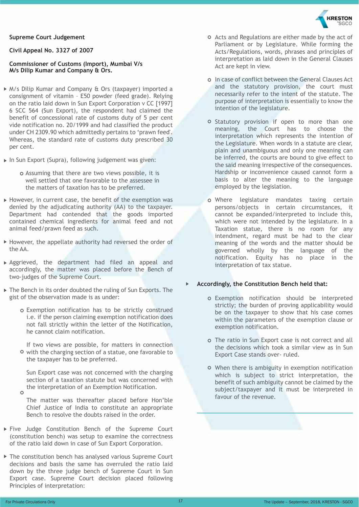## **KRESTON**

#### **Supreme Court Judgement**

#### **Civil Appeal No. 3327 of 2007**

#### **Commissioner of Customs (Import), Mumbai V/s M/s Dilip Kumar and Company & Ors.**

- M/s Dilip Kumar and Company & Ors (taxpayer) imported a consignment of vitamin – E50 powder (feed grade). Relying on the ratio laid down in Sun Export Corporation v CC [1997] 6 SCC 564 (Sun Export), the respondent had claimed the benefit of concessional rate of customs duty of 5 per cent vide notification no. 20/1999 and had classified the product under CH 2309.90 which admittedly pertains to 'prawn feed'. Whereas, the standard rate of customs duty prescribed 30 per cent.
- ▶ In Sun Export (Supra), following judgement was given:
	- o Assuming that there are two views possible, it is well settled that one favorable to the assessee in the matters of taxation has to be preferred.
- $\blacktriangleright$  However, in current case, the benefit of the exemption was denied by the adjudicating authority (AA) to the taxpayer. Department had contended that the goods imported contained chemical ingredients for animal feed and not animal feed/prawn feed as such.
- However, the appellate authority had reversed the order of the AA.
- Aggrieved, the department had filed an appeal and accordingly, the matter was placed before the Bench of two-judges of the Supreme Court.
- ▶ The Bench in its order doubted the ruling of Sun Exports. The gist of the observation made is as under:
	- Exemption notification has to be strictly construed i.e. if the person claiming exemption notification does not fall strictly within the letter of the Notification, he cannot claim notification.

If two views are possible, for matters in connection o with the charging section of a statue, one favorable to the taxpayer has to be preferred.

Sun Export case was not concerned with the charging section of a taxation statute but was concerned with the interpretation of an Exemption Notification.

 $\circ$ 

The matter was thereafter placed before Hon'ble Chief Justice of India to constitute an appropriate Bench to resolve the doubts raised in the order.

- Five Judge Constitution Bench of the Supreme Court (constitution bench) was setup to examine the correctness of the ratio laid down in case of Sun Export Corporation.
- The constitution bench has analysed various Supreme Court decisions and basis the same has overruled the ratio laid down by the three judge bench of Supreme Court in Sun Export case. Supreme Court decision placed following Principles of interpretation:
- Acts and Regulations are either made by the act of Parliament or by Legislature. While forming the Acts/Regulations, words, phrases and principles of interpretation as laid down in the General Clauses Act are kept in view.
- o In case of conflict between the General Clauses Act and the statutory provision, the court must necessarily refer to the intent of the statute. The purpose of interpretation is essentially to know the intention of the legislature.
- o Statutory provision if open to more than one meaning, the Court has to choose the interpretation which represents the intention of the Legislature. When words in a statute are clear, plain and unambiguous and only one meaning can be inferred, the courts are bound to give effect to the said meaning irrespective of the consequences. Hardship or inconvenience caused cannot form a basis to alter the meaning to the language employed by the legislation.
- Where legislature mandates taxing certain persons/objects in certain circumstances, it cannot be expanded/interpreted to include this, which were not intended by the legislature. In a Taxation statue, there is no room for any intendment, regard must be had to the clear meaning of the words and the matter should be governed wholly by the language of the notification. Equity has no place in the interpretation of tax statue.

#### **Accordingly, the Constitution Bench held that:**

- Exemption notification should be interpreted strictly; the burden of proving applicability would be on the taxpayer to show that his case comes within the parameters of the exemption clause or exemption notification.
- o The ratio in Sun Export case is not correct and all the decisions which took a similar view as in Sun Export Case stands over- ruled.
- When there is ambiguity in exemption notification which is subject to strict interpretation, the benefit of such ambiguity cannot be claimed by the subject/taxpayer and it must be interpreted in favour of the revenue.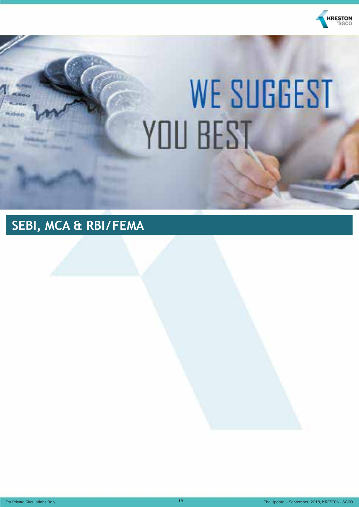

# **WE SUGGEST** YOU BEST

## **SEBI, MCA & RBI/FEMA**

For Private Circulations Only **18** The Update – September, 2018, KRESTON - SGCO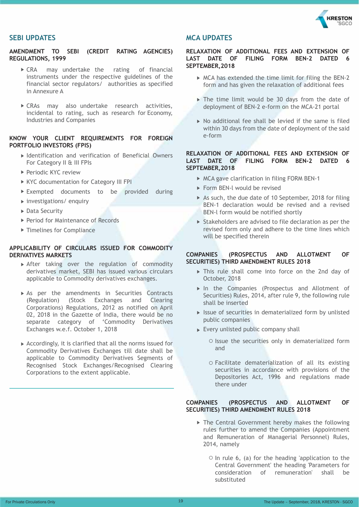

#### **SEBI UPDATES**

#### **AMENDMENT TO SEBI (CREDIT RATING AGENCIES) REGULATIONS, 1999**

- CRA may undertake the rating of financial instruments under the respective guidelines of the financial sector regulators/ authorities as specified in Annexure A
- CRAs may also undertake research activities, incidental to rating, such as research for Economy, Industries and Companies

#### **KNOW YOUR CLIENT REQUIREMENTS FOR FOREIGN PORTFOLIO INVESTORS (FPIS)**

- ▶ Identification and verification of Beneficial Owners For Category II & III FPIs
- ▶ Periodic KYC review
- KYC documentation for Category III FPI
- Exempted documents to be provided during
- $\triangleright$  investigations/ enquiry
- ▶ Data Security
- ▶ Period for Maintenance of Records
- ▶ Timelines for Compliance

#### **APPLICABILITY OF CIRCULARS ISSUED FOR COMMODITY DERIVATIVES MARKETS**

- $\triangleright$  After taking over the regulation of commodity derivatives market, SEBI has issued various circulars applicable to Commodity derivatives exchanges.
- As per the amendments in Securities Contracts (Regulation) (Stock Exchanges and Clearing Corporations) Regulations, 2012 as notified on April 02, 2018 in the Gazette of India, there would be no separate category of 'Commodity Derivatives Exchanges w.e.f. October 1, 2018
- $\triangleright$  Accordingly, it is clarified that all the norms issued for Commodity Derivatives Exchanges till date shall be applicable to Commodity Derivatives Segments of Recognised Stock Exchanges/Recognised Clearing Corporations to the extent applicable.

#### **MCA UPDATES**

#### **RELAXATION OF ADDITIONAL FEES AND EXTENSION OF LAST DATE OF FILING FORM BEN-2 DATED 6 SEPTEMBER,2018**

- $\triangleright$  MCA has extended the time limit for filing the BEN-2 form and has given the relaxation of additional fees
- $\triangleright$  The time limit would be 30 days from the date of deployment of BEN-2 e-form on the MCA-21 portal
- $\triangleright$  No additional fee shall be levied if the same is filed within 30 days from the date of deployment of the said e-form

#### **RELAXATION OF ADDITIONAL FEES AND EXTENSION OF LAST DATE OF FILING FORM BEN-2 DATED 6 SEPTEMBER,2018**

- $\triangleright$  MCA gave clarification in filing FORM BEN-1
- Form BEN-I would be revised
- As such, the due date of 10 September, 2018 for filing BEN-1 declaration would be revised and a revised BEN-l form would be notified shortly
- ▶ Stakeholders are advised to file declaration as per the revised form only and adhere to the time Iines which will be specified therein

#### **COMPANIES (PROSPECTUS AND ALLOTMENT OF SECURITIES) THIRD AMENDMENT RULES 2018**

- This rule shall come into force on the 2nd day of October, 2018
- In the Companies (Prospectus and Allotment of Securities) Rules, 2014, after rule 9, the following rule shall be inserted
- $\blacktriangleright$  Issue of securities in dematerialized form by unlisted public companies
- $\triangleright$  Every unlisted public company shall
	- $\circ$  Issue the securities only in dematerialized form and
	- Facilitate dematerialization of all its existing securities in accordance with provisions of the Depositories Act, 1996 and regulations made there under

#### **COMPANIES (PROSPECTUS AND ALLOTMENT OF SECURITIES) THIRD AMENDMENT RULES 2018**

- ▶ The Central Government hereby makes the following rules further to amend the Companies (Appointment and Remuneration of Managerial Personnel) Rules, 2014, namely
	- $\circ$  In rule 6, (a) for the heading 'application to the Central Government' the heading 'Parameters for consideration of remuneration' shall be substituted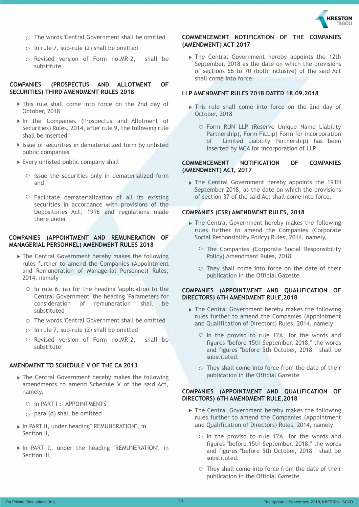

- $\cap$  The words 'Central Government shall be omitted
- $\circ$  In rule 7, sub-rule (2) shall be omitted
- $\circ$  Revised version of Form no.MR-2, shall be substitute

#### **COMPANIES (PROSPECTUS AND ALLOTMENT OF SECURITIES) THIRD AMENDMENT RULES 2018**

- This rule shall come into force on the 2nd day of October, 2018
- In the Companies (Prospectus and Allotment of Securities) Rules, 2014, after rule 9, the following rule shall be inserted
- $\triangleright$  Issue of securities in dematerialized form by unlisted public companies
- ► Every unlisted public company shall
	- $\circ$  Issue the securities only in dematerialized form and
	- $\circ$  Facilitate dematerialization of all its existing securities in accordance with provisions of the Depositories Act, 1996 and regulations made there under

#### **COMPANIES (APPOINTMENT AND REMUNERATION OF MANAGERIAL PERSONNEL) AMENDMENT RULES 2018**

- The Central Government hereby makes the following rules further to amend the Companies (Appointment and Remuneration of Managerial Personnel) Rules, 2014, namely
	- $\circ$  In rule 6, (a) for the heading 'application to the Central Government' the heading 'Parameters for consideration of remuneration' shall be substituted
	- The words 'Central Government shall be omitted
	- $\circ$  In rule 7, sub-rule (2) shall be omitted
	- O Revised version of Form no.MR-2, shall be substitute

#### **AMENDMENT TO SCHEDULE V OF THE CA 2013**

- ▶ The Central Government hereby makes the following amendments to amend Schedule V of the said Act, namely,
	- O In PART I :- APPOINTMENTS
	- $\circ$  para (d) shall be omitted
- ▶ In PART II, under heading" REMUNERATION", in Section II,
- In PART ll, under the heading "REMUNERATION', in Section III,

#### **COMMENCEMENT NOTIFICATION OF THE COMPANIES (AMENDMENT) ACT 2017**

▶ The Central Government hereby appoints the 12th September, 2018 as the date on which the provisions of sections 66 to 70 (both inclusive) of the said Act shall come into force.

#### **LLP AMENDMENT RULES 2018 DATED 18.09.2018**

- This rule shall come into force on the 2nd day of October, 2018
	- Form RUN LLP (Reserve Unique Name Liability Partnership), Form FiLLip( Form for incorporation of Limited Liability Partnership) has been inserted by MCA for incorporation of LLP

#### **COMMENCEMENT NOTIFICATION OF COMPANIES (AMENDMENT) ACT, 2017**

The Central Government hereby appoints the 19TH September 2018, as the date on which the provisions of section 37 of the said Act shall come into force.

#### **COMPANIES (CSR) AMENDMENT RULES, 2018**

- ▶ The Central Government hereby makes the following rules further to amend the Companies (Corporate Social Responsibility Policy) Rules, 2014, namely,
	- $\circ$  The Companies (Corporate Social Responsibility Policy) Amendment Rules, 2018
	- $\circ$  They shall come into force on the date of their publication in the Official Gazette

#### **COMPANIES (APPOINTMENT AND QUALIFICATION OF DIRECTORS) 6TH AMENDMENT RULE,2018**

- ▶ The Central Government hereby makes the following rules further to amend the Companies (Appointment and Qualification of Directors) Rules, 2014, namely
	- $\circ$  In the proviso to rule 12A, for the words and figures "before 15th September, 2018," the words and figures "before 5th October, 2018 " shall be substituted.
	- $\circ$  They shall come into force from the date of their publication in the Official Gazette

#### **COMPANIES (APPOINTMENT AND QUALIFICATION OF DIRECTORS) 6TH AMENDMENT RULE,2018**

- ▶ The Central Government hereby makes the following rules further to amend the Companies (Appointment and Qualification of Directors) Rules, 2014, namely
	- O In the proviso to rule 12A, for the words and figures "before 15th September, 2018," the words and figures "before 5th October, 2018 " shall be substituted.
	- $\circ$  They shall come into force from the date of their publication in the Official Gazette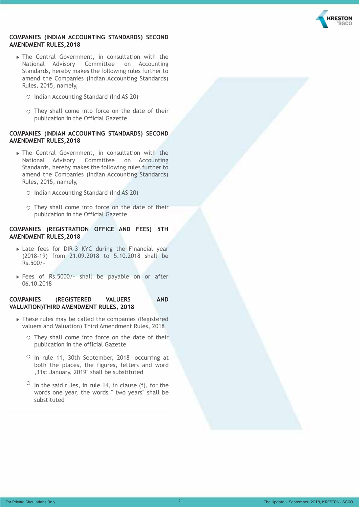

#### **COMPANIES (INDIAN ACCOUNTING STANDARDS) SECOND AMENDMENT RULES,2018**

- The Central Government, in consultation with the National Advisory Committee on Accounting Standards, hereby makes the following rules further to amend the Companies (Indian Accounting Standards) Rules, 2015, namely,
	- Indian Accounting Standard (Ind AS 20)
	- $\circ$  They shall come into force on the date of their publication in the Official Gazette

#### **COMPANIES (INDIAN ACCOUNTING STANDARDS) SECOND AMENDMENT RULES,2018**

- The Central Government, in consultation with the National Advisory Committee on Accounting Standards, hereby makes the following rules further to amend the Companies (Indian Accounting Standards) Rules, 2015, namely,
	- O Indian Accounting Standard (Ind AS 20)
	- $\circ$  They shall come into force on the date of their publication in the Official Gazette

#### **COMPANIES (REGISTRATION OFFICE AND FEES) 5TH AMENDMENT RULES,2018**

- Late fees for DIR-3 KYC during the Financial year (2018-19) from 21.09.2018 to 5.10.2018 shall be Rs.500/-
- Fees of Rs.5000/- shall be payable on or after 06.10.2018

#### **COMPANIES (REGISTERED VALUERS AND VALUATION)THIRD AMENDMENT RULES, 2018**

- These rules may be called the companies (Registered valuers and Valuation) Third Amendment Rules, 2018
	- $\circ$  They shall come into force on the date of their publication in the official Gazette
	- $\circ$  In rule 11, 30th September, 2018" occurring at both the places, the figures, letters and word ,31st January, 2019" shall be substituted
	- $\circ$  In the said rules, in rule 14, in clause (f), for the words one year, the words " two years" shall be substituted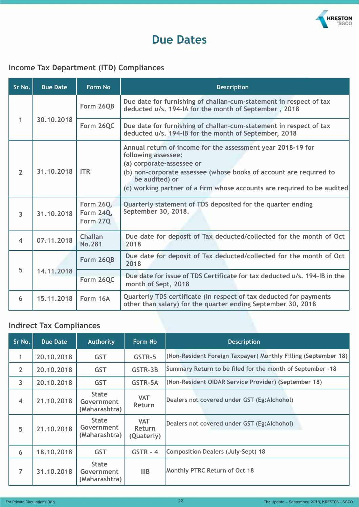

### **Due Dates**

#### **Income Tax Department (ITD) Compliances**

| Sr No.            | <b>Due Date</b> | <b>Form No</b>                     | <b>Description</b>                                                                                                                                                                                                                                                                 |  |
|-------------------|-----------------|------------------------------------|------------------------------------------------------------------------------------------------------------------------------------------------------------------------------------------------------------------------------------------------------------------------------------|--|
|                   |                 | Form 26QB                          | Due date for furnishing of challan-cum-statement in respect of tax<br>deducted u/s. 194-IA for the month of September, 2018                                                                                                                                                        |  |
| 1<br>30, 10, 2018 |                 | Form 26QC                          | Due date for furnishing of challan-cum-statement in respect of tax<br>deducted u/s. 194-IB for the month of September, 2018                                                                                                                                                        |  |
| $\overline{2}$    | 31.10.2018      | <b>ITR</b>                         | Annual return of income for the assessment year 2018-19 for<br>following assessee:<br>(a) corporate-assessee or<br>(b) non-corporate assessee (whose books of account are required to<br>be audited) or<br>(c) working partner of a firm whose accounts are required to be audited |  |
| 3                 | 31.10.2018      | Form 26Q.<br>Form 24Q,<br>Form 27Q | Quarterly statement of TDS deposited for the quarter ending<br>September 30, 2018.                                                                                                                                                                                                 |  |
| $\overline{4}$    | 07.11.2018      | <b>Challan</b><br><b>No.281</b>    | Due date for deposit of Tax deducted/collected for the month of Oct<br>2018                                                                                                                                                                                                        |  |
| 5                 | 14.11.2018      | Form 26QB                          | Due date for deposit of Tax deducted/collected for the month of Oct<br>2018                                                                                                                                                                                                        |  |
|                   |                 | Form 26QC                          | Due date for issue of TDS Certificate for tax deducted u/s, 194-IB in the<br>month of Sept, 2018                                                                                                                                                                                   |  |
| 6                 | 15.11.2018      | Form 16A                           | Quarterly TDS certificate (in respect of tax deducted for payments<br>other than salary) for the quarter ending September 30, 2018                                                                                                                                                 |  |

#### **Indirect Tax Compliances**

| Sr No.         | <b>Due Date</b> | <b>Authority</b>                            | Form No                                   | <b>Description</b>                                             |
|----------------|-----------------|---------------------------------------------|-------------------------------------------|----------------------------------------------------------------|
| $\mathbf{1}$   | 20, 10, 2018    | <b>GST</b>                                  | GSTR-5                                    | (Non-Resident Foreign Taxpayer) Monthly Filling (September 18) |
| $\overline{2}$ | 20, 10, 2018    | <b>GST</b>                                  | GSTR-3B                                   | Summary Return to be filed for the month of September -18      |
| 3              | 20.10.2018      | <b>GST</b>                                  | GSTR-5A                                   | (Non-Resident OIDAR Service Provider) (September 18)           |
| $\overline{4}$ | 21, 10, 2018    | <b>State</b><br>Government<br>(Maharashtra) | <b>VAT</b><br><b>Return</b>               | Dealers not covered under GST (Eg:Alchohol)                    |
| 5              | 21, 10, 2018    | <b>State</b><br>Government<br>(Maharashtra) | <b>VAT</b><br><b>Return</b><br>(Quaterly) | Dealers not covered under GST (Eg:Alchohol)                    |
| 6              | 18.10.2018      | <b>GST</b>                                  | $GSTR - 4$                                | <b>Composition Dealers (July-Sept) 18</b>                      |
| $\overline{7}$ | 31, 10, 2018    | <b>State</b><br>Government<br>(Maharashtra) | <b>IIIB</b>                               | Monthly PTRC Return of Oct 18                                  |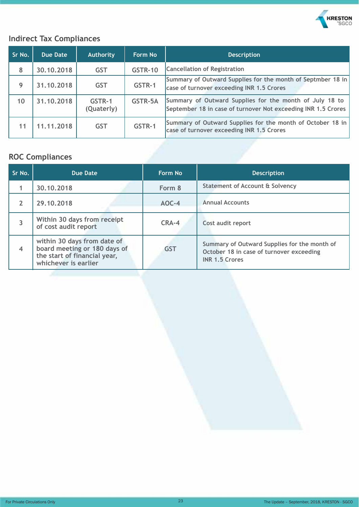

#### **Indirect Tax Compliances**

| Sr No. | Due Date     | <b>Authority</b>     | <b>Form No</b> | <b>Description</b>                                                                                                       |
|--------|--------------|----------------------|----------------|--------------------------------------------------------------------------------------------------------------------------|
| 8      | 30, 10, 2018 | <b>GST</b>           | <b>GSTR-10</b> | <b>Cancellation of Registration</b>                                                                                      |
| 9      | 31, 10, 2018 | <b>GST</b>           | GSTR-1         | Summary of Outward Supplies for the month of Septmber 18 in<br>case of turnover exceeding INR 1.5 Crores                 |
| 10     | 31, 10, 2018 | GSTR-1<br>(Quaterly) | GSTR-5A        | Summary of Outward Supplies for the month of July 18 to<br>September 18 in case of turnover Not exceeding INR 1.5 Crores |
| 11     | 11, 11, 2018 | <b>GST</b>           | GSTR-1         | Summary of Outward Supplies for the month of October 18 in<br>case of turnover exceeding INR 1.5 Crores                  |

#### **ROC Compliances**

| Sr No.         | Due Date                                                                                                            | Form No    | <b>Description</b>                                                                                                |
|----------------|---------------------------------------------------------------------------------------------------------------------|------------|-------------------------------------------------------------------------------------------------------------------|
|                | 30.10.2018                                                                                                          | Form 8     | <b>Statement of Account &amp; Solvency</b>                                                                        |
| 2              | 29.10.2018                                                                                                          | $AOC-4$    | <b>Annual Accounts</b>                                                                                            |
| 3              | Within 30 days from receipt<br>of cost audit report                                                                 | $CRA-4$    | Cost audit report                                                                                                 |
| $\overline{4}$ | within 30 days from date of<br>board meeting or 180 days of<br>the start of financial year,<br>whichever is earlier | <b>GST</b> | Summary of Outward Supplies for the month of<br>October 18 in case of turnover exceeding<br><b>INR 1.5 Crores</b> |